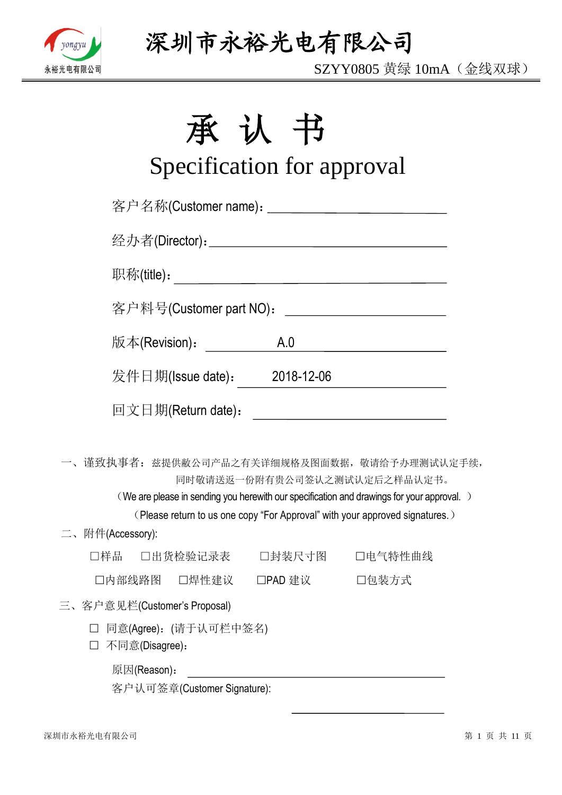

SZYY0805 黄绿 10mA(金线双球)

# 承认书

# Specification for approval

| 客户名称(Customer name): ____________________________ |                  |                                                                                                                                                                                                           |
|---------------------------------------------------|------------------|-----------------------------------------------------------------------------------------------------------------------------------------------------------------------------------------------------------|
|                                                   |                  |                                                                                                                                                                                                           |
|                                                   |                  |                                                                                                                                                                                                           |
| 客户料号(Customer part NO):                           |                  | <u> 1999 - Johann Barn, fransk politik (</u>                                                                                                                                                              |
| 版本(Revision):                                     | A.0              |                                                                                                                                                                                                           |
| 发件日期(Issue date): 2018-12-06                      |                  |                                                                                                                                                                                                           |
| 回文日期(Return date):                                |                  |                                                                                                                                                                                                           |
| 一、 谨致执事者: 兹提供敝公司产品之有关详细规格及图面数据,敬请给予办理测试认定手续,      |                  | 同时敬请送返一份附有贵公司签认之测试认定后之样品认定书。<br>(We are please in sending you herewith our specification and drawings for your approval.)<br>(Please return to us one copy "For Approval" with your approved signatures.) |
| 二、附件(Accessory):                                  |                  |                                                                                                                                                                                                           |
| □样品                                               | □出货检验记录表  □封装尺寸图 | 口电气特性曲线                                                                                                                                                                                                   |
| 口内部线路图  口焊性建议                                     | □PAD 建议 □包装方式    |                                                                                                                                                                                                           |
| 三、客户意见栏(Customer's Proposal)                      |                  |                                                                                                                                                                                                           |
| □ 同意(Agree): (请于认可栏中签名)<br>不同意(Disagree):         |                  |                                                                                                                                                                                                           |
| 原因(Reason):                                       |                  |                                                                                                                                                                                                           |

客户认可签章(Customer Signature):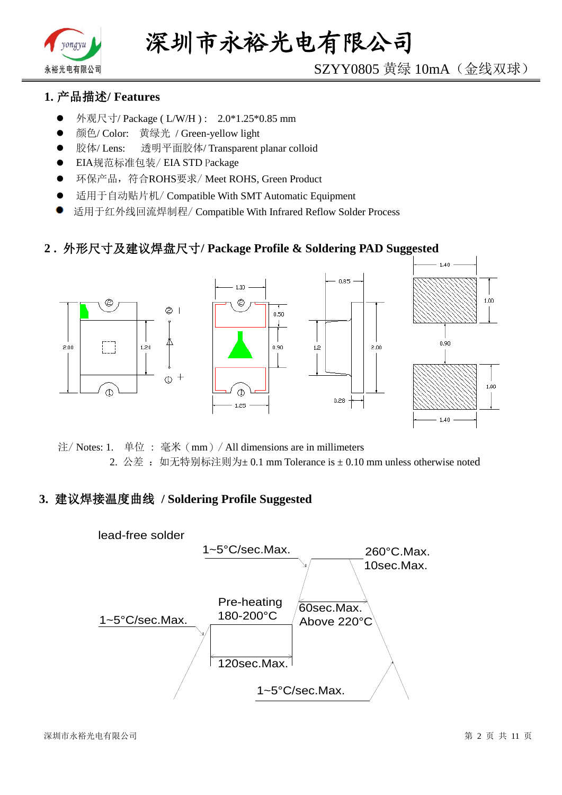

# SZYY0805 黄绿 10mA(金线双球)

## **1.** 产品描述**/ Features**

- 外观尺寸/ Package ( L/W/H ) : 2.0\*1.25\*0.85 mm
- 颜色/ Color: 黄绿光 / Green-yellow light
- 胶体/ Lens: 透明平面胶体/ Transparent planar colloid
- EIA规范标准包装/ EIA STD Package
- **●** 环保产品,符合ROHS要求/Meet ROHS, Green Product
- 适用于自动贴片机/ Compatible With SMT Automatic Equipment
- 适用于红外线回流焊制程/ Compatible With Infrared Reflow Solder Process

#### **2 .** 外形尺寸及建议焊盘尺寸**/ Package Profile & Soldering PAD Suggested**



注/ Notes: 1. 单位 : 毫米(mm)/ All dimensions are in millimeters 2. 公差: 如无特别标注则为±0.1 mm Tolerance is ±0.10 mm unless otherwise noted

#### **3.** 建议焊接温度曲线 **/ Soldering Profile Suggested**

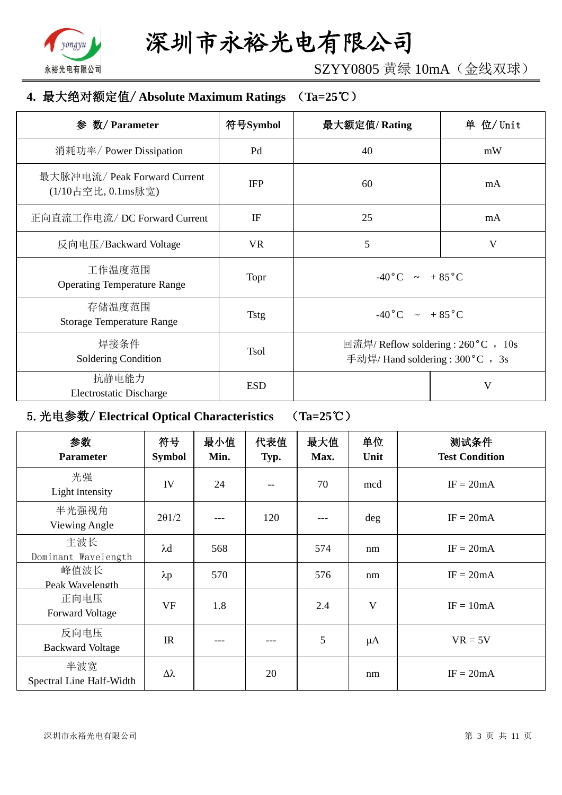

SZYY0805 黄绿 10mA(金线双球)

### **4.** 最大绝对额定值/ **Absolute Maximum Ratings** (**Ta=25**℃)

| 参 数/ Parameter                                     | 符号Symbol    | 最大额定值/Rating                                                             | 单 位/ Unit |  |
|----------------------------------------------------|-------------|--------------------------------------------------------------------------|-----------|--|
| 消耗功率/ Power Dissipation                            | Pd          | 40                                                                       | mW        |  |
| 最大脉冲电流/ Peak Forward Current<br>(1/10占空比, 0.1ms脉宽) | <b>IFP</b>  | 60                                                                       | mA        |  |
| 正向直流工作电流/DC Forward Current                        | IF          | 25                                                                       | mA        |  |
| 反向电压/Backward Voltage                              | <b>VR</b>   | 5                                                                        | V         |  |
| 工作温度范围<br><b>Operating Temperature Range</b>       | Topr        | $-40\degree C$ $\sim +85\degree C$                                       |           |  |
| 存储温度范围<br><b>Storage Temperature Range</b>         | <b>Tstg</b> | $-40\degree C$ $\sim$ $+85\degree C$                                     |           |  |
| 焊接条件<br>Soldering Condition                        | <b>Tsol</b> | 回流焊/ Reflow soldering : 260 °C , 10s<br>手动焊/ Hand soldering : 300 °C, 3s |           |  |
| 抗静电能力<br><b>Electrostatic Discharge</b>            | <b>ESD</b>  |                                                                          | V         |  |

# 5.光电参数/ **Electrical Optical Characteristics** (**Ta=25**℃)

| 参数<br><b>Parameter</b>          | 符号<br><b>Symbol</b> | 最小值<br>Min. | 代表值<br>Typ. | 最大值<br>Max. | 单位<br>Unit | 测试条件<br><b>Test Condition</b> |
|---------------------------------|---------------------|-------------|-------------|-------------|------------|-------------------------------|
| 光强<br>Light Intensity           | IV                  | 24          |             | 70          | mcd        | $IF = 20mA$                   |
| 半光强视角<br>Viewing Angle          | $2\theta$ 1/2       |             | 120         |             | deg        | $IF = 20mA$                   |
| 主波长<br>Dominant Wavelength      | $\lambda$ d         | 568         |             | 574         | nm         | $IF = 20mA$                   |
| 峰值波长<br>Peak Wavelength         | $\lambda p$         | 570         |             | 576         | nm         | $IF = 20mA$                   |
| 正向电压<br><b>Forward Voltage</b>  | <b>VF</b>           | 1.8         |             | 2.4         | V          | $IF = 10mA$                   |
| 反向电压<br><b>Backward Voltage</b> | IR                  |             |             | 5           | $\mu A$    | $VR = 5V$                     |
| 半波宽<br>Spectral Line Half-Width | $\Delta\lambda$     |             | 20          |             | nm         | $IF = 20mA$                   |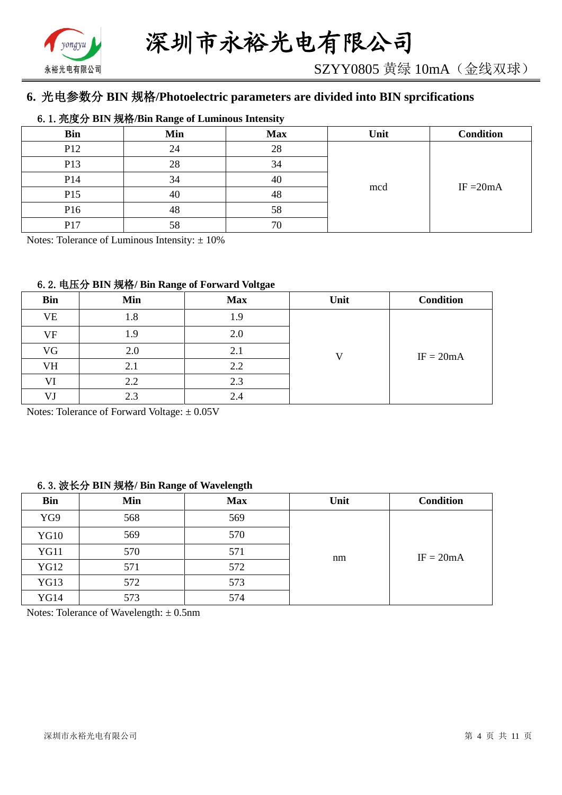

# **6.** 光电参数分 **BIN** 规格**/Photoelectric parameters are divided into BIN sprcifications**

#### 6.1.亮度分 **BIN** 规格**/Bin Range of Luminous Intensity**

| <b>Bin</b>      | Min | <b>Max</b> | Unit | <b>Condition</b> |
|-----------------|-----|------------|------|------------------|
| P <sub>12</sub> | 24  | 28         |      |                  |
| P13             | 28  | 34         |      |                  |
| P <sub>14</sub> | 34  | 40         |      |                  |
| P <sub>15</sub> | 40  | 48         | mcd  | IF $=20mA$       |
| P16             | 48  | 58         |      |                  |
| P17             | 58  | 70         |      |                  |

Notes: Tolerance of Luminous Intensity:  $\pm 10\%$ 

#### 6.2.电压分 **BIN** 规格**/ Bin Range of Forward Voltgae**

| <b>Bin</b> | Min | <b>Max</b> | Unit | <b>Condition</b> |
|------------|-----|------------|------|------------------|
| <b>VE</b>  | 1.8 | 1.9        |      |                  |
| VF         | 1.9 | 2.0        |      |                  |
| VG         | 2.0 | 2.1        | ۲.   | $IF = 20mA$      |
| VH         | 2.1 | 2.2        |      |                  |
| VI         | 2.2 | 2.3        |      |                  |
| VJ         | 2.3 | 2.4        |      |                  |

Notes: Tolerance of Forward Voltage: ±0.05V

#### 6.3.波长分 **BIN** 规格**/ Bin Range of Wavelength**

| <b>Bin</b>  | Min | <b>Max</b> | Unit | <b>Condition</b> |  |  |
|-------------|-----|------------|------|------------------|--|--|
| YG9         | 568 | 569        |      |                  |  |  |
| <b>YG10</b> | 569 | 570        |      | $IF = 20mA$      |  |  |
| <b>YG11</b> | 570 | 571        | nm   |                  |  |  |
| <b>YG12</b> | 571 | 572        |      |                  |  |  |
| <b>YG13</b> | 572 | 573        |      |                  |  |  |
| <b>YG14</b> | 573 | 574        |      |                  |  |  |

Notes: Tolerance of Wavelength: ±0.5nm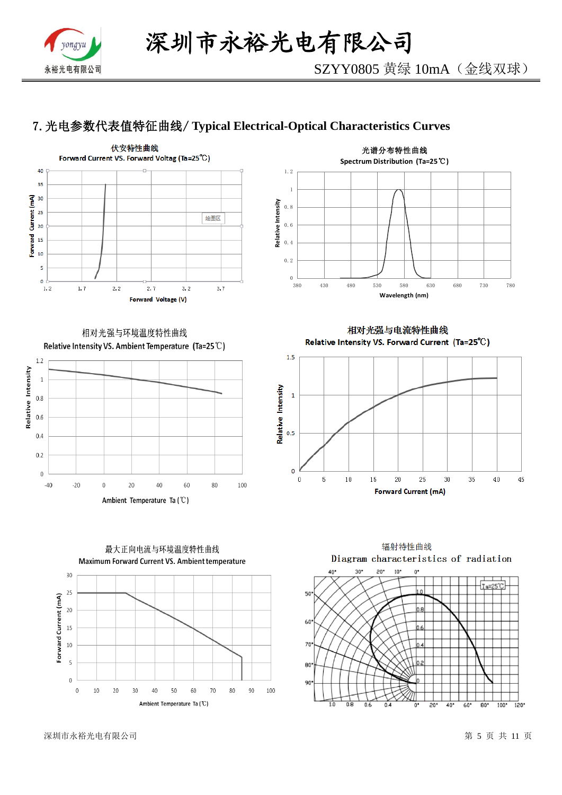

# 7.光电参数代表值特征曲线/ **Typical Electrical-Optical Characteristics Curves**





相对光强与环境温度特性曲线 Relative Intensity VS. Ambient Temperature (Ta=25°C)



相对光强与电流特性曲线 Relative Intensity VS. Forward Current (Ta=25°C)





最大正向电流与环境温度特性曲线

辐射特性曲线 Diagram characteristics of radiation  $40$  $\mathsf{a}$  $10'$  $\overline{a}$ 

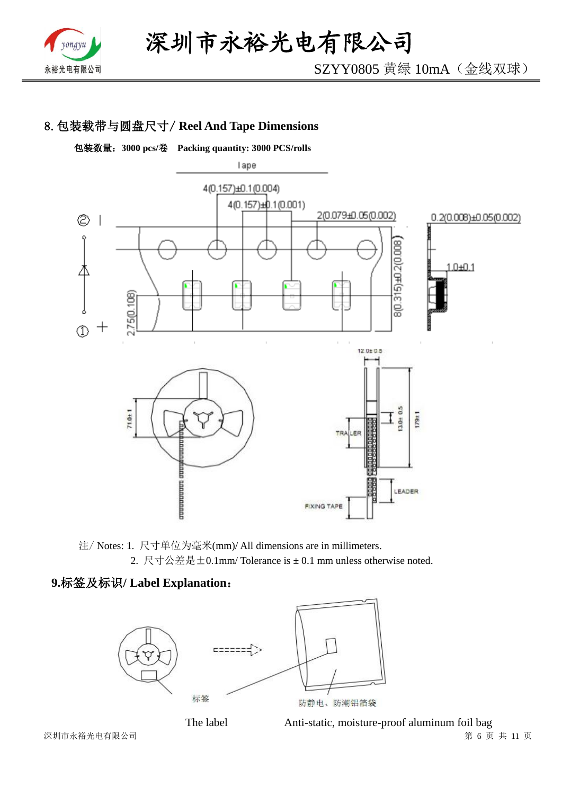

SZYY0805 黄绿 10mA(金线双球)

# 8.包装载带与圆盘尺寸/ **Reel And Tape Dimensions**



注/ Notes: 1. 尺寸单位为毫米(mm)/ All dimensions are in millimeters. 2. 尺寸公差是±0.1mm/ Tolerance is ± 0.1 mm unless otherwise noted.

#### **9.**标签及标识**/ Label Explanation**:



 深圳市永裕光电有限公司 第 6 页 共 11 页 The label Anti-static, moisture-proof aluminum foil bag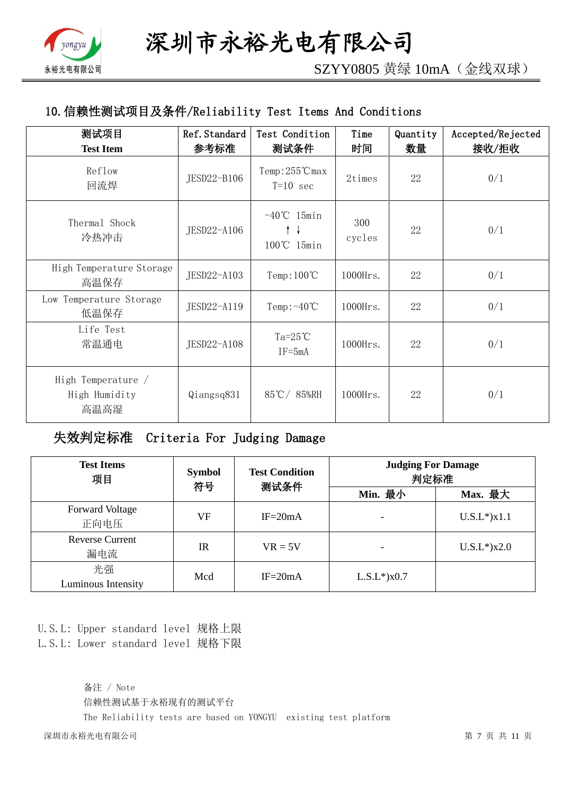

SZYY0805 黄绿 10mA(金线双球)

# 10.信赖性测试项目及条件/Reliability Test Items And Conditions

| 测试项目<br><b>Test Item</b>                    | Ref. Standard<br>参考标准 | Test Condition<br>测试条件              | Time<br>时间    | Quantity<br>数量 | Accepted/Rejected<br>接收/拒收 |
|---------------------------------------------|-----------------------|-------------------------------------|---------------|----------------|----------------------------|
| Reflow<br>回流焊                               | JESD22-B106           | Temp:255℃max<br>$T=10$ sec          | 2times        | 22             | 0/1                        |
| Thermal Shock<br>冷热冲击                       | JESD22-A106           | $-40^{\circ}$ C 15min<br>100℃ 15min | 300<br>cycles | 22             | 0/1                        |
| High Temperature Storage<br>高温保存            | JESD22-A103           | Temp: $100^{\circ}$ C               | 1000Hrs.      | 22             | 0/1                        |
| Low Temperature Storage<br>低温保存             | JESD22-A119           | Temp: $-40^{\circ}$ C               | 1000Hrs.      | 22             | 0/1                        |
| Life Test<br>常温通电                           | JESD22-A108           | Ta= $25^{\circ}$ C<br>$IF = 5mA$    | $1000$ Hrs.   | 22             | 0/1                        |
| High Temperature /<br>High Humidity<br>高温高湿 | Qiangsq831            | 85℃/85%RH                           | $1000$ Hrs.   | 22             | 0/1                        |

# 失效判定标准 Criteria For Judging Damage

| <b>Test Items</b><br>项目        | <b>Symbol</b><br>符号 | <b>Test Condition</b><br>测试条件 | <b>Judging For Damage</b><br>判定标准 |                   |  |
|--------------------------------|---------------------|-------------------------------|-----------------------------------|-------------------|--|
|                                |                     |                               | Min. 最小                           | Max. 最大           |  |
| <b>Forward Voltage</b><br>正向电压 | VF                  | $IF = 20mA$                   |                                   | $U.S.L*$ ) $x1.1$ |  |
| <b>Reverse Current</b><br>漏电流  | $_{\rm IR}$         | $VR = 5V$                     |                                   | $U.S.L*$ )x2.0    |  |
| 光强<br>Luminous Intensity       | Mcd                 | $IF = 20mA$                   | $L.S.L*$ ) $x0.7$                 |                   |  |

U.S.L: Upper standard level 规格上限 L.S.L: Lower standard level 规格下限

> 备注 / Note 信赖性测试基于永裕现有的测试平台 The Reliability tests are based on YONGYU existing test platform

深圳市永裕光电有限公司 第 7 页 共 11 页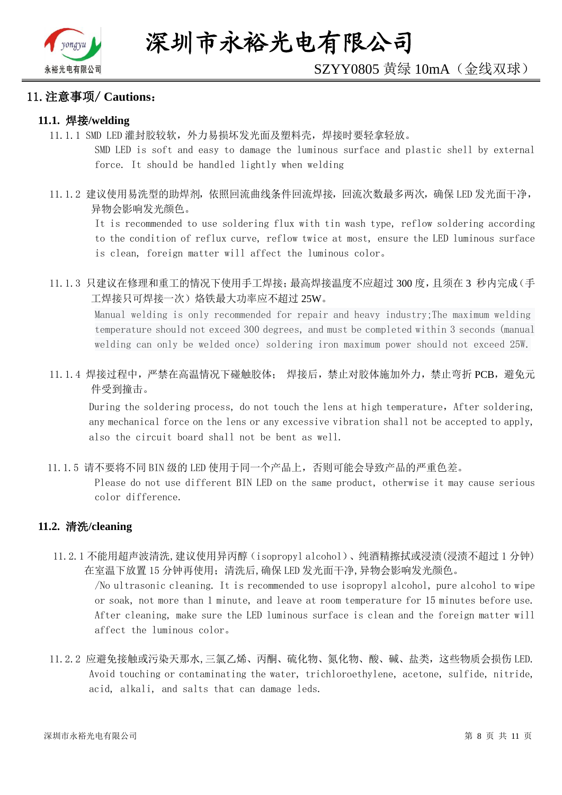

#### 11.注意事项/ **Cautions**:

#### **11.1.** 焊接**/welding**

11.1.1 SMD LED 灌封胶较软,外力易损坏发光面及塑料壳,焊接时要轻拿轻放。

SMD LED is soft and easy to damage the luminous surface and plastic shell by external force. It should be handled lightly when welding

11.1.2 建议使用易洗型的助焊剂,依照回流曲线条件回流焊接,回流次数最多两次,确保 LED 发光面干净, 异物会影响发光颜色。

It is recommended to use soldering flux with tin wash type, reflow soldering according to the condition of reflux curve, reflow twice at most, ensure the LED luminous surface is clean, foreign matter will affect the luminous color。

11.1.3 只建议在修理和重工的情况下使用手工焊接;最高焊接温度不应超过 300 度,且须在 3 秒内完成(手 工焊接只可焊接一次)烙铁最大功率应不超过 25W。

Manual welding is only recommended for repair and heavy industry;The maximum welding temperature should not exceed 300 degrees, and must be completed within 3 seconds (manual welding can only be welded once) soldering iron maximum power should not exceed 25W.

11.1.4 焊接过程中,严禁在高温情况下碰触胶体; 焊接后,禁止对胶体施加外力,禁止弯折 PCB,避免元 件受到撞击。

During the soldering process, do not touch the lens at high temperature, After soldering, any mechanical force on the lens or any excessive vibration shall not be accepted to apply, also the circuit board shall not be bent as well.

11.1.5 请不要将不同 BIN 级的 LED 使用于同一个产品上,否则可能会导致产品的严重色差。

Please do not use different BIN LED on the same product, otherwise it may cause serious color difference.

#### **11.2.** 清洗**/cleaning**

11.2.1 不能用超声波清洗,建议使用异丙醇(isopropyl alcohol)、纯酒精擦拭或浸渍(浸渍不超过 1 分钟) 在室温下放置 15 分钟再使用;清洗后,确保 LED 发光面干净,异物会影响发光颜色。

/No ultrasonic cleaning. It is recommended to use isopropyl alcohol, pure alcohol to wipe or soak, not more than 1 minute, and leave at room temperature for 15 minutes before use. After cleaning, make sure the LED luminous surface is clean and the foreign matter will affect the luminous color。

11.2.2 应避免接触或污染天那水,三氯乙烯、丙酮、硫化物、氮化物、酸、碱、盐类,这些物质会损伤 LED. Avoid touching or contaminating the water, trichloroethylene, acetone, sulfide, nitride, acid, alkali, and salts that can damage leds.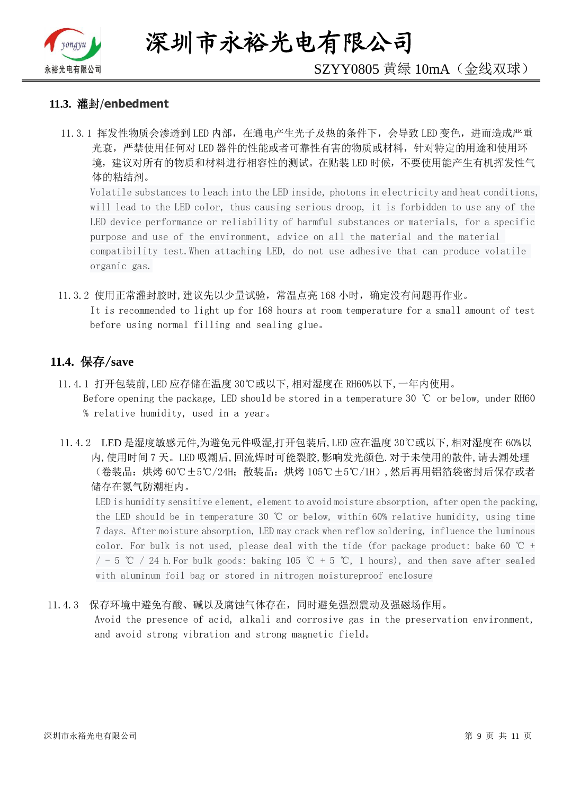

深圳市永裕光电有限公司

# SZYY0805 黄绿 10mA(金线双球)

#### **11.3.** 灌封/**enbedment**

11.3.1 挥发性物质会渗透到 LED 内部, 在通电产生光子及热的条件下, 会导致 LED 变色, 进而造成严重 光衰,严禁使用任何对 LED 器件的性能或者可靠性有害的物质或材料,针对特定的用途和使用环 境,建议对所有的物质和材料进行相容性的测试。在贴装 LED 时候,不要使用能产生有机挥发性气 体的粘结剂。

Volatile substances to leach into the LED inside, photons in electricity and heat conditions, will lead to the LED color, thus causing serious droop, it is forbidden to use any of the LED device performance or reliability of harmful substances or materials, for a specific purpose and use of the environment, advice on all the material and the material compatibility test.When attaching LED, do not use adhesive that can produce volatile organic gas.

11.3.2 使用正常灌封胶时,建议先以少量试验,常温点亮 168 小时,确定没有问题再作业。 It is recommended to light up for 168 hours at room temperature for a small amount of test before using normal filling and sealing glue。

#### **11.4.** 保存/**save**

- 11.4.1 打开包装前,LED 应存储在温度 30℃或以下,相对湿度在 RH60%以下,一年内使用。 Before opening the package, LED should be stored in a temperature 30 ℃ or below, under RH60 % relative humidity, used in a year。
- 11.4.2 LED 是湿度敏感元件,为避免元件吸湿,打开包装后,LED 应在温度 30℃或以下,相对湿度在 60%以 内,使用时间 7 天。LED 吸潮后,回流焊时可能裂胶,影响发光颜色.对于未使用的散件,请去潮处理 (卷装品:烘烤 60℃±5℃/24H;散装品:烘烤 105℃±5℃/1H),然后再用铝箔袋密封后保存或者 储存在氮气防潮柜内。

LED is humidity sensitive element, element to avoid moisture absorption, after open the packing, the LED should be in temperature 30 ℃ or below, within 60% relative humidity, using time 7 days. After moisture absorption, LED may crack when reflow soldering, influence the luminous color. For bulk is not used, please deal with the tide (for package product: bake 60  $\degree$ C +  $/$  - 5 ℃ / 24 h. For bulk goods: baking 105 ℃ + 5 ℃, 1 hours), and then save after sealed with aluminum foil bag or stored in nitrogen moistureproof enclosure

#### 11.4.3 保存环境中避免有酸、碱以及腐蚀气体存在,同时避免强烈震动及强磁场作用。

Avoid the presence of acid, alkali and corrosive gas in the preservation environment, and avoid strong vibration and strong magnetic field。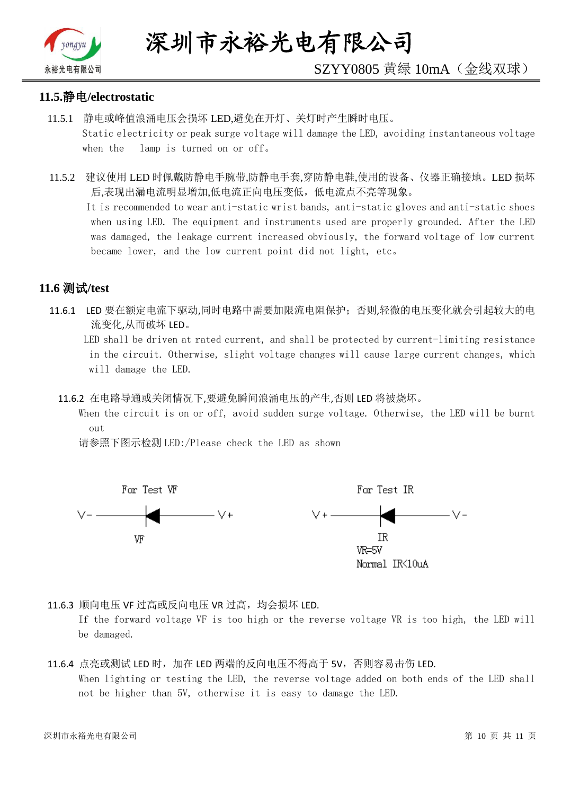

# SZYY0805 黄绿 10mA(金线双球)

#### **11.5.**静电**/electrostatic**

- 11.5.1 静电或峰值浪涌电压会损坏 LED,避免在开灯、关灯时产生瞬时电压。 Static electricity or peak surge voltage will damage the LED, avoiding instantaneous voltage when the lamp is turned on or off。
- 11.5.2 建议使用 LED 时佩戴防静电手腕带,防静电手套,穿防静电鞋,使用的设备、仪器正确接地。LED 损坏 后,表现出漏电流明显增加,低电流正向电压变低,低电流点不亮等现象。

 It is recommended to wear anti-static wrist bands, anti-static gloves and anti-static shoes when using LED. The equipment and instruments used are properly grounded. After the LED was damaged, the leakage current increased obviously, the forward voltage of low current became lower, and the low current point did not light, etc。

### **11.6** 测试**/test**

11.6.1 LED 要在额定电流下驱动,同时电路中需要加限流电阻保护;否则,轻微的电压变化就会引起较大的电 流变化,从而破坏 LED。

 LED shall be driven at rated current, and shall be protected by current-limiting resistance in the circuit. Otherwise, slight voltage changes will cause large current changes, which will damage the LED.

11.6.2 在电路导通或关闭情况下,要避免瞬间浪涌电压的产生,否则 LED 将被烧坏。

 When the circuit is on or off, avoid sudden surge voltage. Otherwise, the LED will be burnt out

请参照下图示检测 LED:/Please check the LED as shown



11.6.3 顺向电压 VF 过高或反向电压 VR 过高, 均会损坏 LED.

If the forward voltage VF is too high or the reverse voltage VR is too high, the LED will be damaged.

#### 11.6.4 点亮或测试 LED 时,加在 LED 两端的反向电压不得高于 5V,否则容易击伤 LED. When lighting or testing the LED, the reverse voltage added on both ends of the LED shall not be higher than 5V, otherwise it is easy to damage the LED.